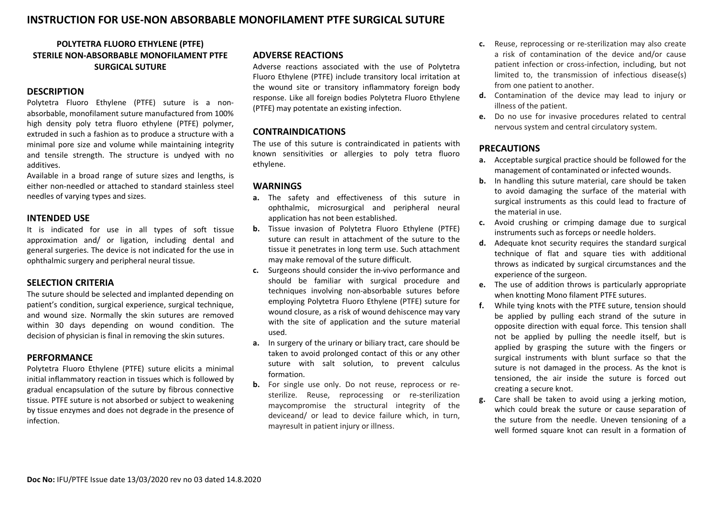# **INSTRUCTION FOR USE-NON ABSORBABLE MONOFILAMENT PTFE SURGICAL SUTURE**

# **POLYTETRA FLUORO ETHYLENE (PTFE) STERILE NON-ABSORBABLE MONOFILAMENT PTFE SURGICAL SUTURE**

## **DESCRIPTION**

Polytetra Fluoro Ethylene (PTFE) suture is a nonabsorbable, monofilament suture manufactured from 100% high density poly tetra fluoro ethylene (PTFE) polymer, extruded in such a fashion as to produce a structure with a minimal pore size and volume while maintaining integrity and tensile strength. The structure is undyed with no additives.

Available in a broad range of suture sizes and lengths, is either non-needled or attached to standard stainless steel needles of varying types and sizes.

#### **INTENDED USE**

It is indicated for use in all types of soft tissue approximation and/ or ligation, including dental and general surgeries. The device is not indicated for the use in ophthalmic surgery and peripheral neural tissue.

#### **SELECTION CRITERIA**

The suture should be selected and implanted depending on patient's condition, surgical experience, surgical technique, and wound size. Normally the skin sutures are removed within 30 days depending on wound condition. The decision of physician is final in removing the skin sutures.

#### **PERFORMANCE**

Polytetra Fluoro Ethylene (PTFE) suture elicits a minimal initial inflammatory reaction in tissues which is followed by gradual encapsulation of the suture by fibrous connective tissue. PTFE suture is not absorbed or subject to weakening by tissue enzymes and does not degrade in the presence of infection.

## **ADVERSE REACTIONS**

Adverse reactions associated with the use of Polytetra Fluoro Ethylene (PTFE) include transitory local irritation at the wound site or transitory inflammatory foreign body response. Like all foreign bodies Polytetra Fluoro Ethylene (PTFE) may potentate an existing infection.

### **CONTRAINDICATIONS**

The use of this suture is contraindicated in patients with known sensitivities or allergies to poly tetra fluoro ethylene.

#### **WARNINGS**

- **a.** The safety and effectiveness of this suture in ophthalmic, microsurgical and peripheral neural application has not been established.
- **b.** Tissue invasion of Polytetra Fluoro Ethylene (PTFE) suture can result in attachment of the suture to the tissue it penetrates in long term use. Such attachment may make removal of the suture difficult.
- **c.** Surgeons should consider the in-vivo performance and should be familiar with surgical procedure and techniques involving non-absorbable sutures before employing Polytetra Fluoro Ethylene (PTFE) suture for wound closure, as a risk of wound dehiscence may vary with the site of application and the suture material used.
- **a.** In surgery of the urinary or biliary tract, care should be taken to avoid prolonged contact of this or any other suture with salt solution, to prevent calculus formation.
- **b.** For single use only. Do not reuse, reprocess or resterilize. Reuse, reprocessing or re-sterilization maycompromise the structural integrity of the deviceand/ or lead to device failure which, in turn, mayresult in patient injury or illness.
- **c.** Reuse, reprocessing or re-sterilization may also create a risk of contamination of the device and/or cause patient infection or cross-infection, including, but not limited to, the transmission of infectious disease(s) from one patient to another.
- **d.** Contamination of the device may lead to injury or illness of the patient.
- **e.** Do no use for invasive procedures related to central nervous system and central circulatory system.

## **PRECAUTIONS**

- **a.** Acceptable surgical practice should be followed for the management of contaminated or infected wounds.
- **b.** In handling this suture material, care should be taken to avoid damaging the surface of the material with surgical instruments as this could lead to fracture of the material in use.
- **c.** Avoid crushing or crimping damage due to surgical instruments such as forceps or needle holders.
- **d.** Adequate knot security requires the standard surgical technique of flat and square ties with additional throws as indicated by surgical circumstances and the experience of the surgeon.
- **e.** The use of addition throws is particularly appropriate when knotting Mono filament PTFE sutures.
- **f.** While tying knots with the PTFE suture, tension should be applied by pulling each strand of the suture in opposite direction with equal force. This tension shall not be applied by pulling the needle itself, but is applied by grasping the suture with the fingers or surgical instruments with blunt surface so that the suture is not damaged in the process. As the knot is tensioned, the air inside the suture is forced out creating a secure knot.
- **g.** Care shall be taken to avoid using a jerking motion, which could break the suture or cause separation of the suture from the needle. Uneven tensioning of a well formed square knot can result in a formation of